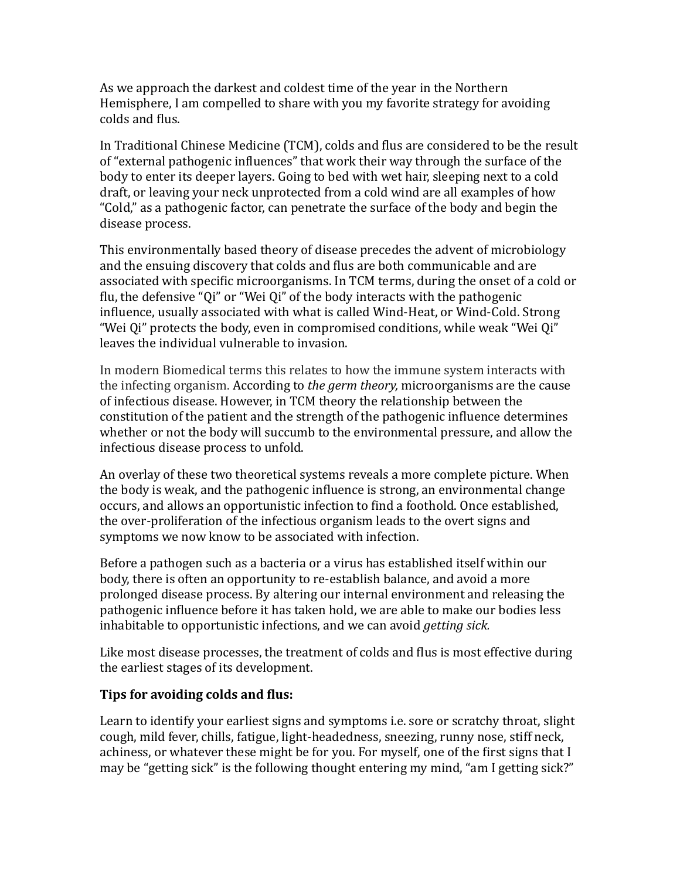As we approach the darkest and coldest time of the year in the Northern Hemisphere, I am compelled to share with you my favorite strategy for avoiding colds and flus.

In Traditional Chinese Medicine (TCM), colds and flus are considered to be the result of "external pathogenic influences" that work their way through the surface of the body to enter its deeper layers. Going to bed with wet hair, sleeping next to a cold draft, or leaving your neck unprotected from a cold wind are all examples of how "Cold," as a pathogenic factor, can penetrate the surface of the body and begin the disease process.

This environmentally based theory of disease precedes the advent of microbiology and the ensuing discovery that colds and flus are both communicable and are associated with specific microorganisms. In TCM terms, during the onset of a cold or flu, the defensive "Oi" or "Wei Qi" of the body interacts with the pathogenic influence, usually associated with what is called Wind-Heat, or Wind-Cold. Strong "Wei Qi" protects the body, even in compromised conditions, while weak "Wei Qi" leaves the individual vulnerable to invasion.

In modern Biomedical terms this relates to how the immune system interacts with the infecting organism. According to *the germ theory*, microorganisms are the cause of infectious disease. However, in TCM theory the relationship between the constitution of the patient and the strength of the pathogenic influence determines whether or not the body will succumb to the environmental pressure, and allow the infectious disease process to unfold.

An overlay of these two theoretical systems reveals a more complete picture. When the body is weak, and the pathogenic influence is strong, an environmental change occurs, and allows an opportunistic infection to find a foothold. Once established, the over-proliferation of the infectious organism leads to the overt signs and symptoms we now know to be associated with infection.

Before a pathogen such as a bacteria or a virus has established itself within our body, there is often an opportunity to re-establish balance, and avoid a more prolonged disease process. By altering our internal environment and releasing the pathogenic influence before it has taken hold, we are able to make our bodies less inhabitable to opportunistic infections, and we can avoid *getting sick*.

Like most disease processes, the treatment of colds and flus is most effective during the earliest stages of its development.

## **Tips for avoiding colds and flus:**

Learn to identify your earliest signs and symptoms *i.e.* sore or scratchy throat, slight cough, mild fever, chills, fatigue, light-headedness, sneezing, runny nose, stiff neck, achiness, or whatever these might be for you. For myself, one of the first signs that I may be "getting sick" is the following thought entering my mind, "am I getting sick?"